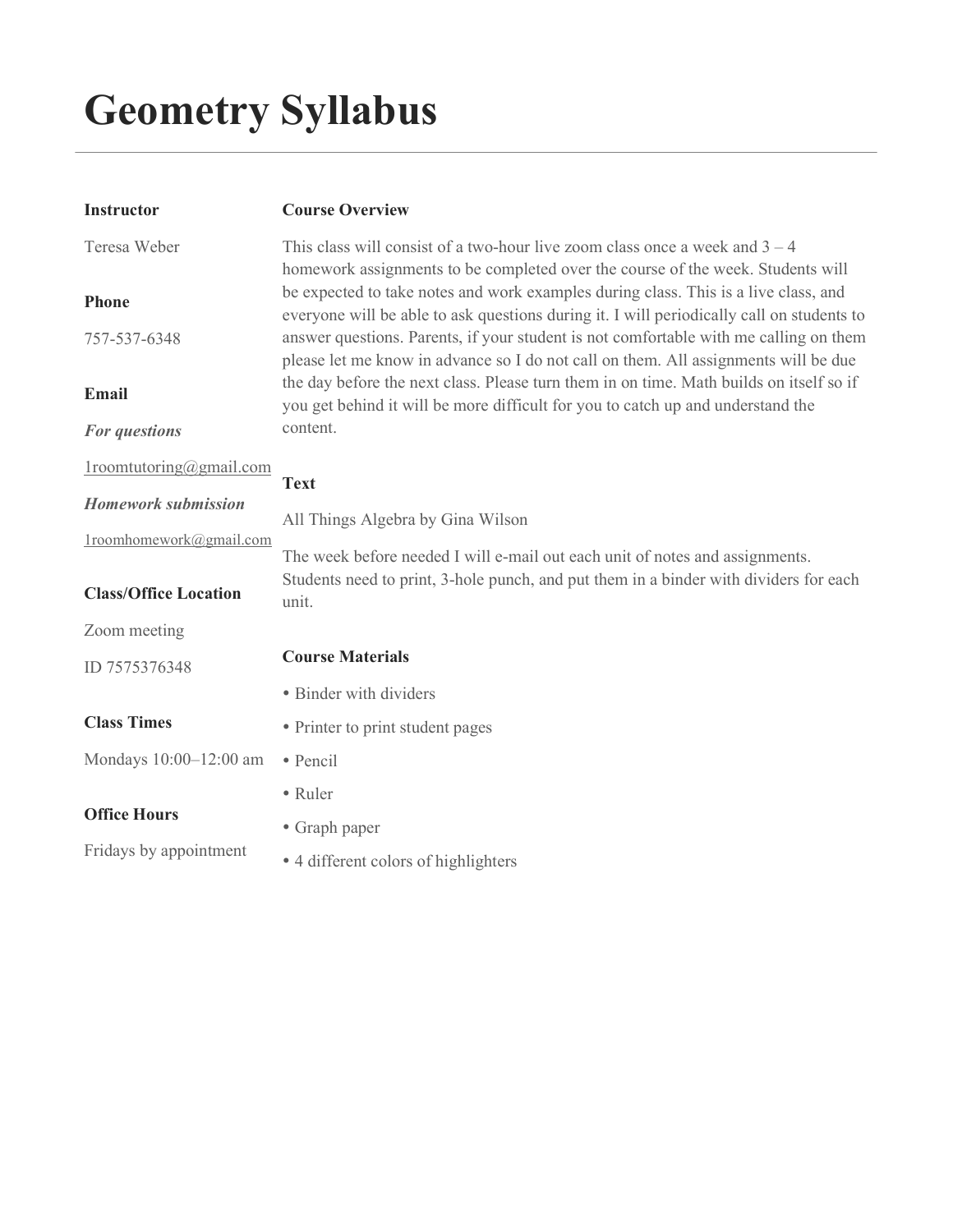# Geometry Syllabus

| <b>Instructor</b>            | <b>Course Overview</b>                                                                                                                                                           |
|------------------------------|----------------------------------------------------------------------------------------------------------------------------------------------------------------------------------|
| Teresa Weber                 | This class will consist of a two-hour live zoom class once a week and $3 - 4$<br>homework assignments to be completed over the course of the week. Students will                 |
| <b>Phone</b>                 | be expected to take notes and work examples during class. This is a live class, and<br>everyone will be able to ask questions during it. I will periodically call on students to |
| 757-537-6348                 | answer questions. Parents, if your student is not comfortable with me calling on them<br>please let me know in advance so I do not call on them. All assignments will be due     |
| <b>Email</b>                 | the day before the next class. Please turn them in on time. Math builds on itself so if<br>you get behind it will be more difficult for you to catch up and understand the       |
| For questions                | content.                                                                                                                                                                         |
| $1$ roomtutoring@gmail.com   | <b>Text</b>                                                                                                                                                                      |
| <b>Homework submission</b>   | All Things Algebra by Gina Wilson                                                                                                                                                |
| 1roomhomework@gmail.com      | The week before needed I will e-mail out each unit of notes and assignments.                                                                                                     |
| <b>Class/Office Location</b> | Students need to print, 3-hole punch, and put them in a binder with dividers for each<br>unit.                                                                                   |
| Zoom meeting                 |                                                                                                                                                                                  |
| ID 7575376348                | <b>Course Materials</b>                                                                                                                                                          |
|                              | • Binder with dividers                                                                                                                                                           |
| <b>Class Times</b>           | • Printer to print student pages                                                                                                                                                 |
| Mondays 10:00-12:00 am       | · Pencil                                                                                                                                                                         |
|                              | • Ruler                                                                                                                                                                          |
| <b>Office Hours</b>          | • Graph paper                                                                                                                                                                    |
| Fridays by appointment       | • 4 different colors of highlighters                                                                                                                                             |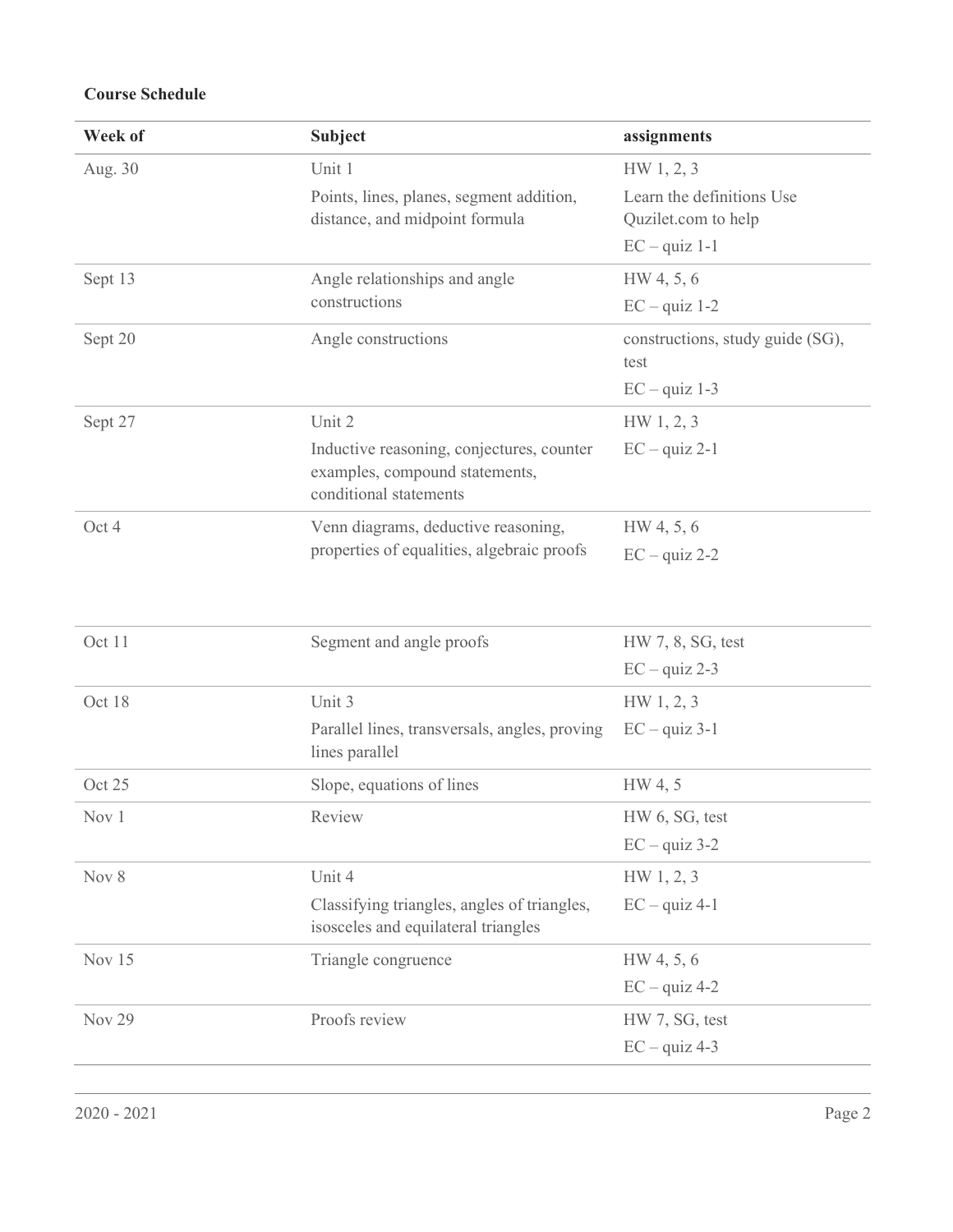## Course Schedule

| Week of       | <b>Subject</b>                                                                                        | assignments                                      |
|---------------|-------------------------------------------------------------------------------------------------------|--------------------------------------------------|
| Aug. 30       | Unit 1                                                                                                | HW 1, 2, 3                                       |
|               | Points, lines, planes, segment addition,<br>distance, and midpoint formula                            | Learn the definitions Use<br>Quzilet.com to help |
|               |                                                                                                       | $EC - quiz$ 1-1                                  |
| Sept 13       | Angle relationships and angle<br>constructions                                                        | HW 4, 5, 6                                       |
|               |                                                                                                       | $EC - quiz$ 1-2                                  |
| Sept 20       | Angle constructions                                                                                   | constructions, study guide (SG),<br>test         |
|               |                                                                                                       | $EC - quiz$ 1-3                                  |
| Sept 27       | Unit 2                                                                                                | HW 1, 2, 3                                       |
|               | Inductive reasoning, conjectures, counter<br>examples, compound statements,<br>conditional statements | $EC - quiz 2-1$                                  |
| Oct 4         | Venn diagrams, deductive reasoning,<br>properties of equalities, algebraic proofs                     | HW 4, 5, 6                                       |
|               |                                                                                                       | $EC - quiz 2-2$                                  |
|               |                                                                                                       |                                                  |
| Oct 11        | Segment and angle proofs                                                                              | HW 7, 8, SG, test                                |
|               |                                                                                                       | $EC - quiz 2-3$                                  |
| Oct 18        | Unit 3                                                                                                | HW 1, 2, 3                                       |
|               | Parallel lines, transversals, angles, proving<br>lines parallel                                       | $EC - quiz 3-1$                                  |
| Oct 25        | Slope, equations of lines                                                                             | HW 4, 5                                          |
| Nov 1         | Review                                                                                                | HW 6, SG, test                                   |
|               |                                                                                                       | $EC - quiz 3-2$                                  |
| Nov 8         | Unit 4                                                                                                | HW 1, 2, 3                                       |
|               | Classifying triangles, angles of triangles,<br>isosceles and equilateral triangles                    | $EC - quiz 4-1$                                  |
| Nov 15        | Triangle congruence                                                                                   | HW 4, 5, 6                                       |
|               |                                                                                                       | $EC - quiz 4-2$                                  |
| <b>Nov 29</b> | Proofs review                                                                                         | HW 7, SG, test                                   |
|               |                                                                                                       | $EC - quiz 4-3$                                  |
|               |                                                                                                       |                                                  |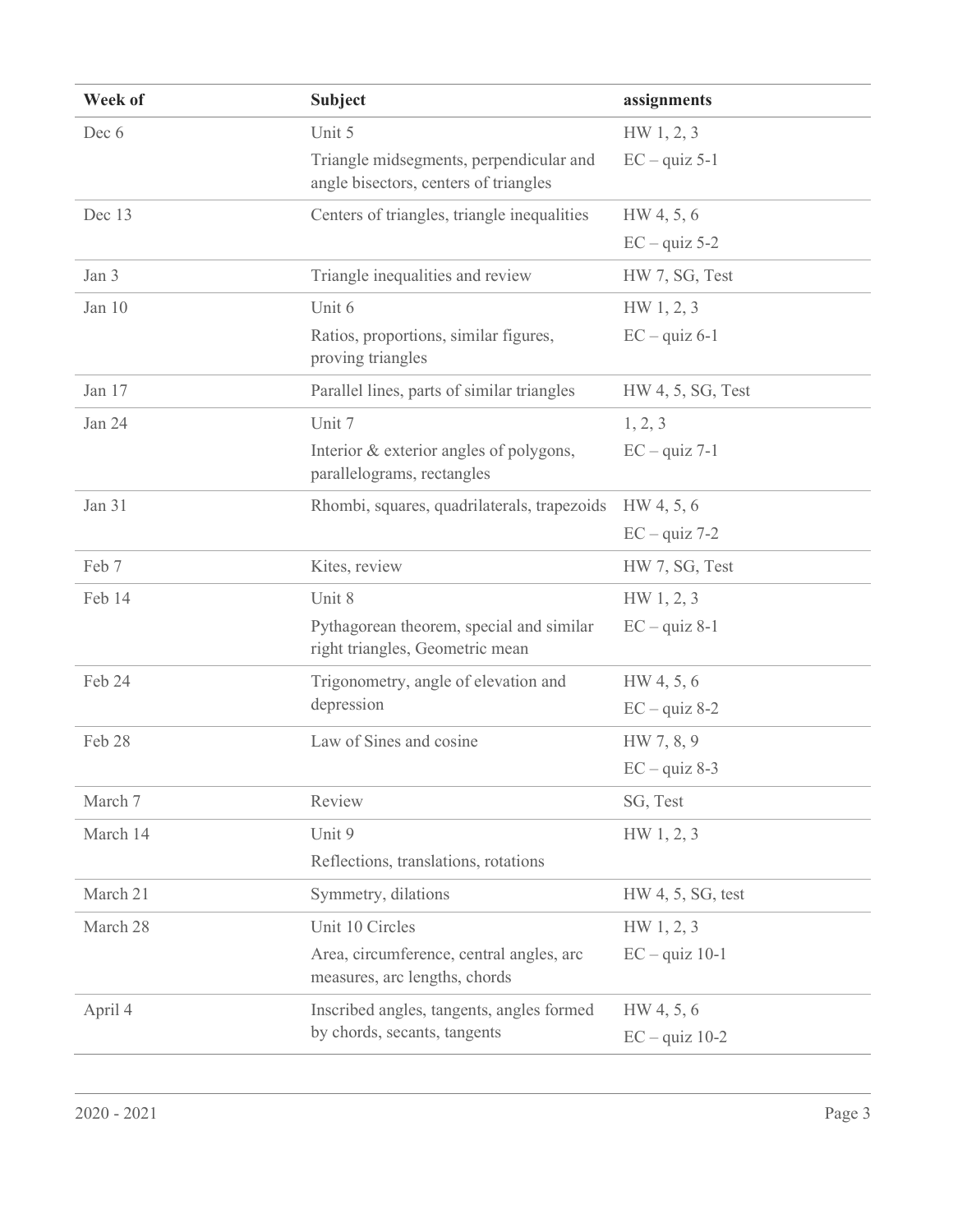| Week of  | <b>Subject</b>                                                                   | assignments       |
|----------|----------------------------------------------------------------------------------|-------------------|
| Dec 6    | Unit 5                                                                           | HW 1, 2, 3        |
|          | Triangle midsegments, perpendicular and<br>angle bisectors, centers of triangles | $EC - quiz 5-1$   |
| Dec 13   | Centers of triangles, triangle inequalities                                      | HW 4, 5, 6        |
|          |                                                                                  | $EC - quiz 5-2$   |
| Jan 3    | Triangle inequalities and review                                                 | HW 7, SG, Test    |
| Jan 10   | Unit 6                                                                           | HW 1, 2, 3        |
|          | Ratios, proportions, similar figures,<br>proving triangles                       | $EC - quiz 6-1$   |
| Jan 17   | Parallel lines, parts of similar triangles                                       | HW 4, 5, SG, Test |
| Jan 24   | Unit 7                                                                           | 1, 2, 3           |
|          | Interior & exterior angles of polygons,<br>parallelograms, rectangles            | $EC - quiz 7-1$   |
| Jan 31   | Rhombi, squares, quadrilaterals, trapezoids                                      | HW 4, 5, 6        |
|          |                                                                                  | $EC - quiz$ 7-2   |
| Feb 7    | Kites, review                                                                    | HW 7, SG, Test    |
| Feb 14   | Unit 8                                                                           | HW 1, 2, 3        |
|          | Pythagorean theorem, special and similar<br>right triangles, Geometric mean      | $EC - quiz 8-1$   |
| Feb 24   | Trigonometry, angle of elevation and                                             | HW 4, 5, 6        |
|          | depression                                                                       | $EC - quiz 8-2$   |
| Feb 28   | Law of Sines and cosine                                                          | HW 7, 8, 9        |
|          |                                                                                  | $EC - quiz 8-3$   |
| March 7  | Review                                                                           | SG, Test          |
| March 14 | Unit 9                                                                           | HW 1, 2, 3        |
|          | Reflections, translations, rotations                                             |                   |
| March 21 | Symmetry, dilations                                                              | HW 4, 5, SG, test |
| March 28 | Unit 10 Circles                                                                  | HW 1, 2, 3        |
|          | Area, circumference, central angles, arc<br>measures, arc lengths, chords        | $EC - quiz$ 10-1  |
| April 4  | Inscribed angles, tangents, angles formed                                        | HW 4, 5, 6        |
|          | by chords, secants, tangents                                                     | $EC - quiz$ 10-2  |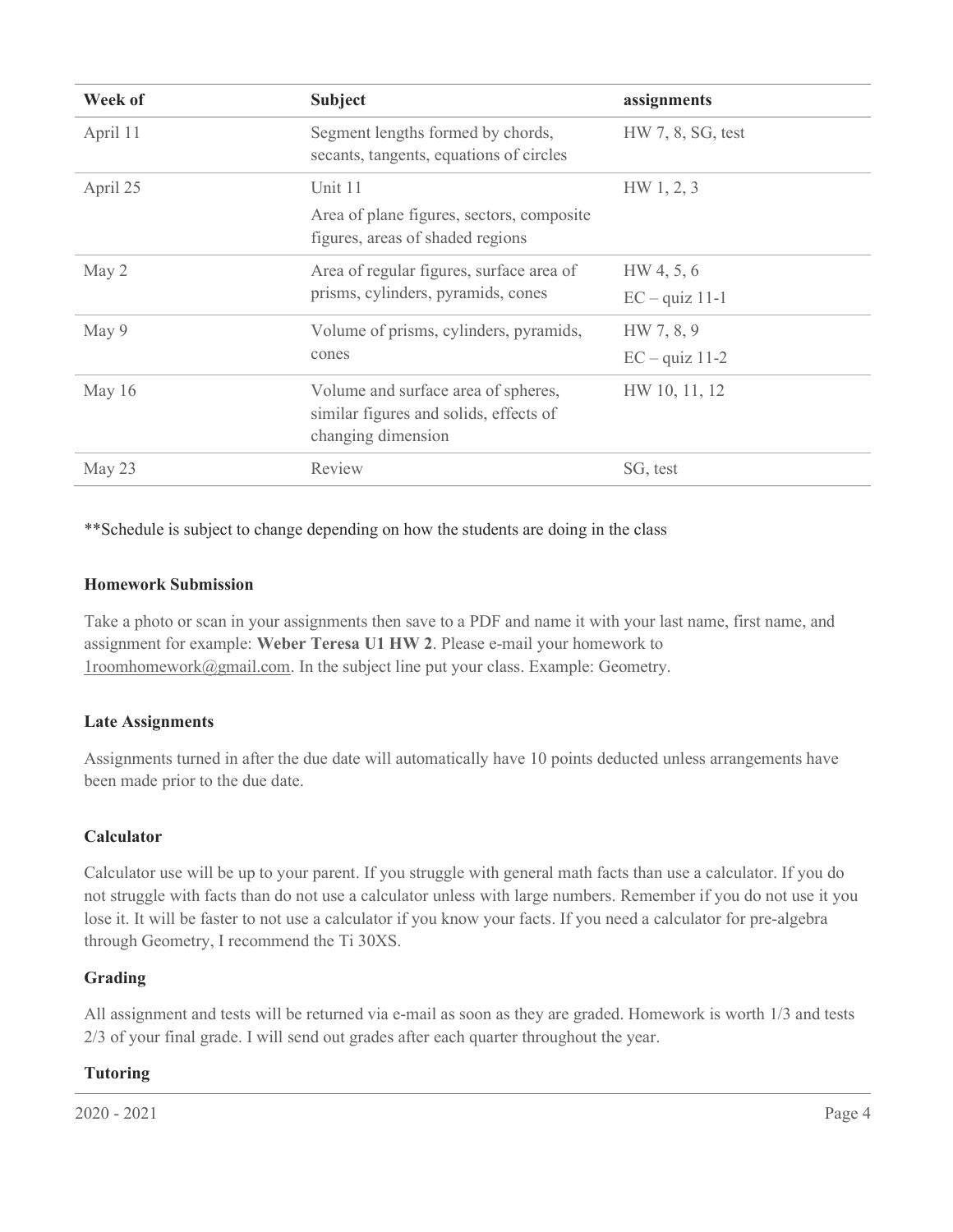| Week of  | <b>Subject</b>                                                                                      | assignments                    |
|----------|-----------------------------------------------------------------------------------------------------|--------------------------------|
| April 11 | Segment lengths formed by chords,<br>secants, tangents, equations of circles                        | HW 7, 8, SG, test              |
| April 25 | Unit 11<br>Area of plane figures, sectors, composite<br>figures, areas of shaded regions            | HW 1, 2, 3                     |
| May 2    | Area of regular figures, surface area of<br>prisms, cylinders, pyramids, cones                      | HW 4, 5, 6<br>$EC - quiz$ 11-1 |
| May 9    | Volume of prisms, cylinders, pyramids,<br>cones                                                     | HW 7, 8, 9<br>$EC - quiz$ 11-2 |
| May 16   | Volume and surface area of spheres,<br>similar figures and solids, effects of<br>changing dimension | HW 10, 11, 12                  |
| May 23   | Review                                                                                              | SG, test                       |

\*\*Schedule is subject to change depending on how the students are doing in the class

#### Homework Submission

Take a photo or scan in your assignments then save to a PDF and name it with your last name, first name, and assignment for example: Weber Teresa U1 HW 2. Please e-mail your homework to 1roomhomework@gmail.com. In the subject line put your class. Example: Geometry.

#### Late Assignments

Assignments turned in after the due date will automatically have 10 points deducted unless arrangements have been made prior to the due date.

#### Calculator

Calculator use will be up to your parent. If you struggle with general math facts than use a calculator. If you do not struggle with facts than do not use a calculator unless with large numbers. Remember if you do not use it you lose it. It will be faster to not use a calculator if you know your facts. If you need a calculator for pre-algebra through Geometry, I recommend the Ti 30XS.

## Grading

All assignment and tests will be returned via e-mail as soon as they are graded. Homework is worth 1/3 and tests 2/3 of your final grade. I will send out grades after each quarter throughout the year.

## Tutoring